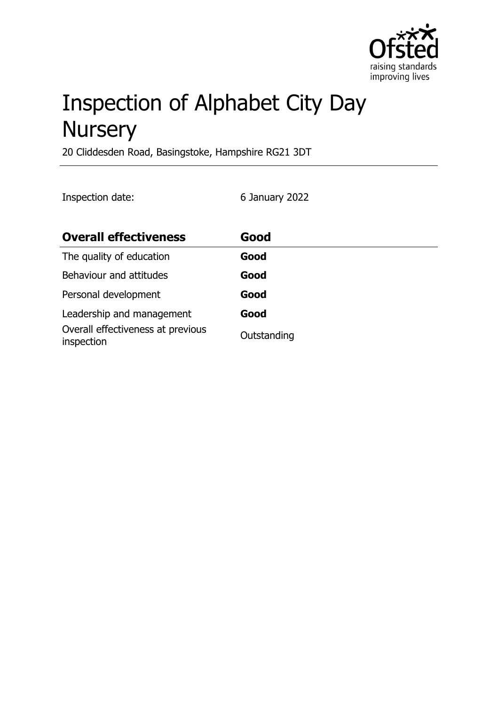

# Inspection of Alphabet City Day **Nursery**

20 Cliddesden Road, Basingstoke, Hampshire RG21 3DT

Inspection date: 6 January 2022

| <b>Overall effectiveness</b>                    | Good        |
|-------------------------------------------------|-------------|
| The quality of education                        | Good        |
| Behaviour and attitudes                         | Good        |
| Personal development                            | Good        |
| Leadership and management                       | Good        |
| Overall effectiveness at previous<br>inspection | Outstanding |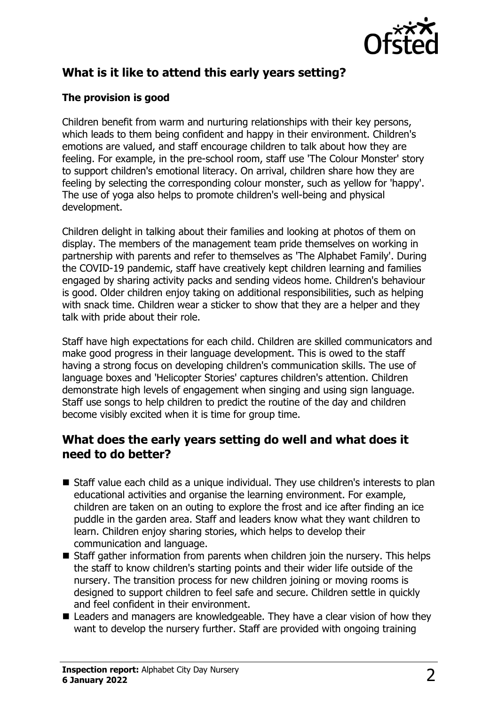

# **What is it like to attend this early years setting?**

#### **The provision is good**

Children benefit from warm and nurturing relationships with their key persons, which leads to them being confident and happy in their environment. Children's emotions are valued, and staff encourage children to talk about how they are feeling. For example, in the pre-school room, staff use 'The Colour Monster' story to support children's emotional literacy. On arrival, children share how they are feeling by selecting the corresponding colour monster, such as yellow for 'happy'. The use of yoga also helps to promote children's well-being and physical development.

Children delight in talking about their families and looking at photos of them on display. The members of the management team pride themselves on working in partnership with parents and refer to themselves as 'The Alphabet Family'. During the COVID-19 pandemic, staff have creatively kept children learning and families engaged by sharing activity packs and sending videos home. Children's behaviour is good. Older children enjoy taking on additional responsibilities, such as helping with snack time. Children wear a sticker to show that they are a helper and they talk with pride about their role.

Staff have high expectations for each child. Children are skilled communicators and make good progress in their language development. This is owed to the staff having a strong focus on developing children's communication skills. The use of language boxes and 'Helicopter Stories' captures children's attention. Children demonstrate high levels of engagement when singing and using sign language. Staff use songs to help children to predict the routine of the day and children become visibly excited when it is time for group time.

## **What does the early years setting do well and what does it need to do better?**

- Staff value each child as a unique individual. They use children's interests to plan educational activities and organise the learning environment. For example, children are taken on an outing to explore the frost and ice after finding an ice puddle in the garden area. Staff and leaders know what they want children to learn. Children enjoy sharing stories, which helps to develop their communication and language.
- $\blacksquare$  Staff gather information from parents when children join the nursery. This helps the staff to know children's starting points and their wider life outside of the nursery. The transition process for new children joining or moving rooms is designed to support children to feel safe and secure. Children settle in quickly and feel confident in their environment.
- $\blacksquare$  Leaders and managers are knowledgeable. They have a clear vision of how they want to develop the nursery further. Staff are provided with ongoing training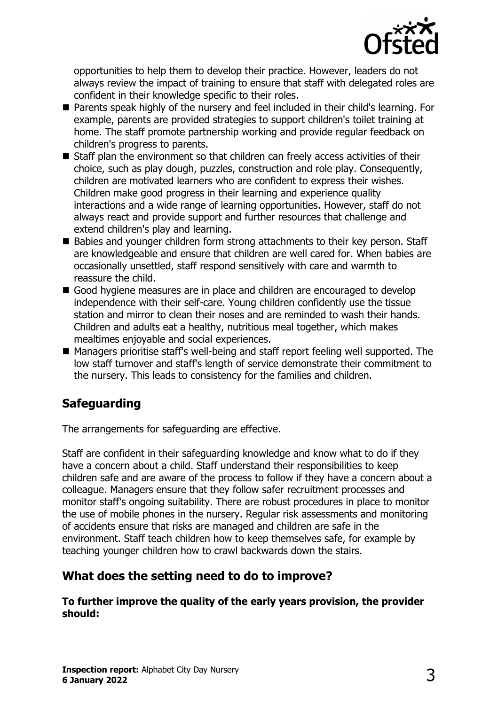

opportunities to help them to develop their practice. However, leaders do not always review the impact of training to ensure that staff with delegated roles are confident in their knowledge specific to their roles.

- Parents speak highly of the nursery and feel included in their child's learning. For example, parents are provided strategies to support children's toilet training at home. The staff promote partnership working and provide regular feedback on children's progress to parents.
- $\blacksquare$  Staff plan the environment so that children can freely access activities of their choice, such as play dough, puzzles, construction and role play. Consequently, children are motivated learners who are confident to express their wishes. Children make good progress in their learning and experience quality interactions and a wide range of learning opportunities. However, staff do not always react and provide support and further resources that challenge and extend children's play and learning.
- Babies and younger children form strong attachments to their key person. Staff are knowledgeable and ensure that children are well cared for. When babies are occasionally unsettled, staff respond sensitively with care and warmth to reassure the child.
- Good hygiene measures are in place and children are encouraged to develop independence with their self-care. Young children confidently use the tissue station and mirror to clean their noses and are reminded to wash their hands. Children and adults eat a healthy, nutritious meal together, which makes mealtimes enjoyable and social experiences.
- Managers prioritise staff's well-being and staff report feeling well supported. The low staff turnover and staff's length of service demonstrate their commitment to the nursery. This leads to consistency for the families and children.

## **Safeguarding**

The arrangements for safeguarding are effective.

Staff are confident in their safeguarding knowledge and know what to do if they have a concern about a child. Staff understand their responsibilities to keep children safe and are aware of the process to follow if they have a concern about a colleague. Managers ensure that they follow safer recruitment processes and monitor staff's ongoing suitability. There are robust procedures in place to monitor the use of mobile phones in the nursery. Regular risk assessments and monitoring of accidents ensure that risks are managed and children are safe in the environment. Staff teach children how to keep themselves safe, for example by teaching younger children how to crawl backwards down the stairs.

## **What does the setting need to do to improve?**

**To further improve the quality of the early years provision, the provider should:**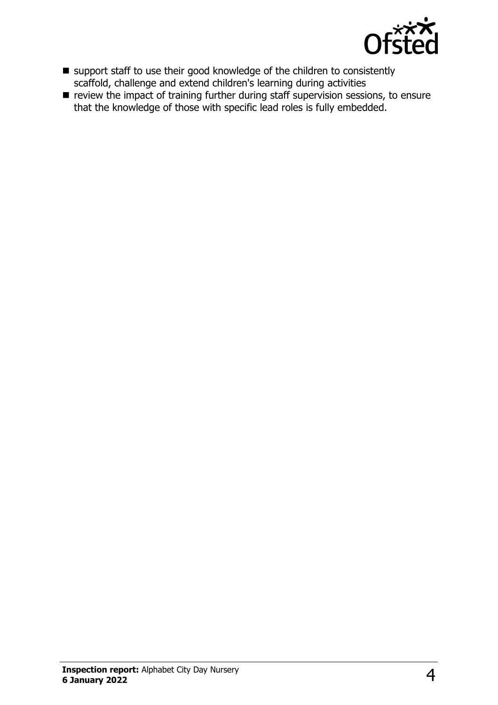

- support staff to use their good knowledge of the children to consistently scaffold, challenge and extend children's learning during activities
- review the impact of training further during staff supervision sessions, to ensure that the knowledge of those with specific lead roles is fully embedded.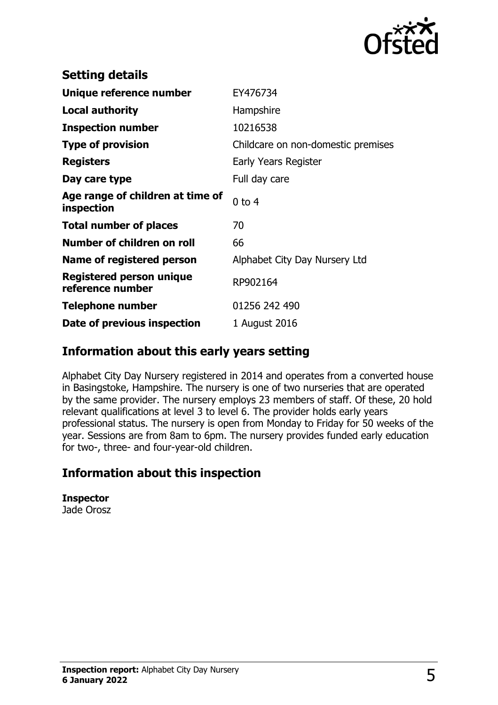

| <b>Setting details</b>                         |                                    |
|------------------------------------------------|------------------------------------|
| Unique reference number                        | EY476734                           |
| <b>Local authority</b>                         | Hampshire                          |
| <b>Inspection number</b>                       | 10216538                           |
| <b>Type of provision</b>                       | Childcare on non-domestic premises |
| <b>Registers</b>                               | Early Years Register               |
| Day care type                                  | Full day care                      |
| Age range of children at time of<br>inspection | $0$ to $4$                         |
| <b>Total number of places</b>                  | 70                                 |
| Number of children on roll                     | 66                                 |
| Name of registered person                      | Alphabet City Day Nursery Ltd      |
| Registered person unique<br>reference number   | RP902164                           |
| Telephone number                               | 01256 242 490                      |
| Date of previous inspection                    | 1 August 2016                      |

## **Information about this early years setting**

Alphabet City Day Nursery registered in 2014 and operates from a converted house in Basingstoke, Hampshire. The nursery is one of two nurseries that are operated by the same provider. The nursery employs 23 members of staff. Of these, 20 hold relevant qualifications at level 3 to level 6. The provider holds early years professional status. The nursery is open from Monday to Friday for 50 weeks of the year. Sessions are from 8am to 6pm. The nursery provides funded early education for two-, three- and four-year-old children.

## **Information about this inspection**

**Inspector** Jade Orosz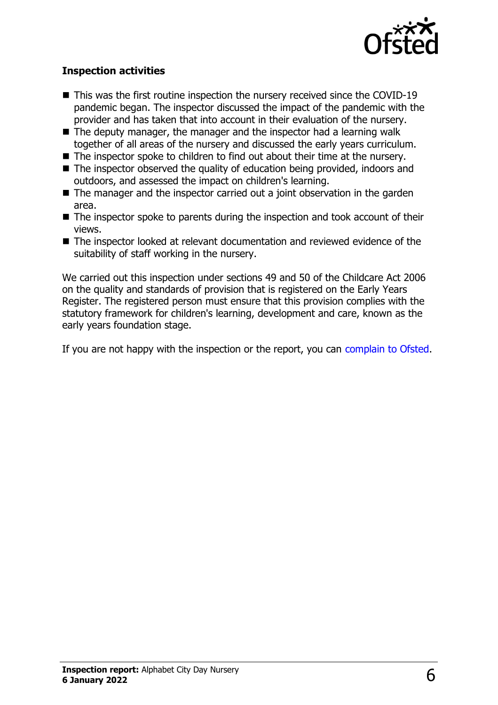

#### **Inspection activities**

- $\blacksquare$  This was the first routine inspection the nursery received since the COVID-19 pandemic began. The inspector discussed the impact of the pandemic with the provider and has taken that into account in their evaluation of the nursery.
- $\blacksquare$  The deputy manager, the manager and the inspector had a learning walk together of all areas of the nursery and discussed the early years curriculum.
- The inspector spoke to children to find out about their time at the nursery.
- $\blacksquare$  The inspector observed the quality of education being provided, indoors and outdoors, and assessed the impact on children's learning.
- $\blacksquare$  The manager and the inspector carried out a joint observation in the garden area.
- $\blacksquare$  The inspector spoke to parents during the inspection and took account of their views.
- $\blacksquare$  The inspector looked at relevant documentation and reviewed evidence of the suitability of staff working in the nursery.

We carried out this inspection under sections 49 and 50 of the Childcare Act 2006 on the quality and standards of provision that is registered on the Early Years Register. The registered person must ensure that this provision complies with the statutory framework for children's learning, development and care, known as the early years foundation stage.

If you are not happy with the inspection or the report, you can [complain to Ofsted](http://www.gov.uk/complain-ofsted-report).